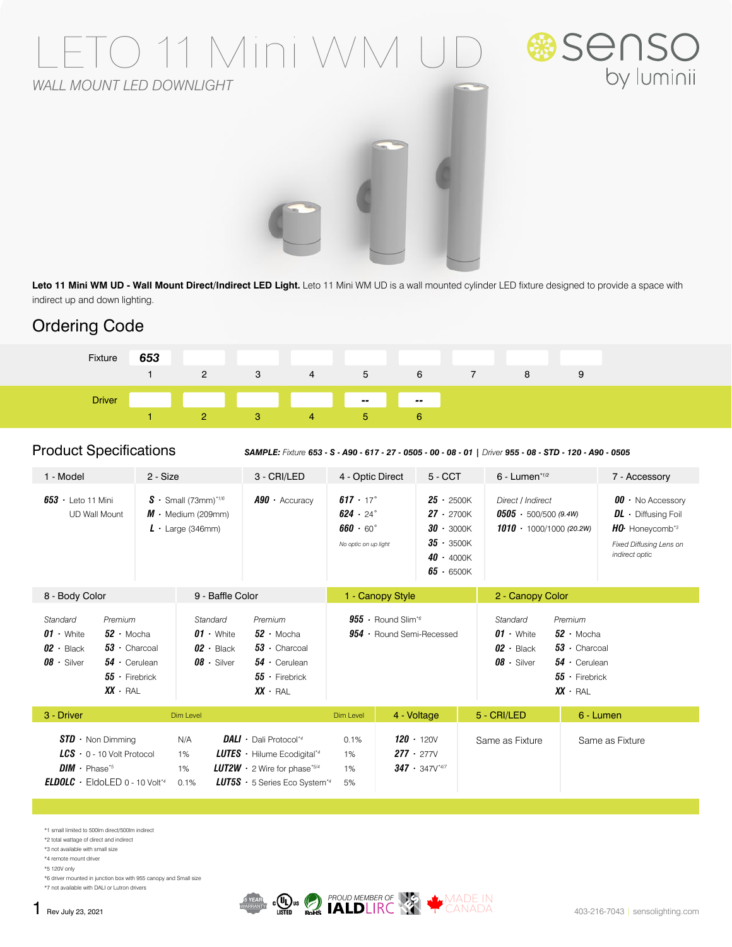# O 11 Mini V *WALL MOUNT LED DOWNLIGHT*





**Leto 11 Mini WM UD - Wall Mount Direct/Indirect LED Light.** Leto 11 Mini WM UD is a wall mounted cylinder LED fixture designed to provide a space with indirect up and down lighting.

# Ordering Code



Product Specifications *SAMPLE: Fixture 653 - S - A90 - 617 - 27 - 0505 - 00 - 08 - 01 | Driver 955 - 08 - STD - 120 - A90 - 0505*

|                                                                                                                                                             | 3 - CRI/LED                                                                                                         | 4 - Optic Direct                                                                                                                                     | $5 - CCT$                                                      | $6$ - Lumen* $1/2$                                                            | 7 - Accessory                                                                                                                    |  |
|-------------------------------------------------------------------------------------------------------------------------------------------------------------|---------------------------------------------------------------------------------------------------------------------|------------------------------------------------------------------------------------------------------------------------------------------------------|----------------------------------------------------------------|-------------------------------------------------------------------------------|----------------------------------------------------------------------------------------------------------------------------------|--|
| $S \cdot$ Small (73mm) <sup>*1/6</sup><br>$M \cdot$ Medium (209mm)<br>$L \cdot$ Large (346mm)                                                               | $A90 \cdot$ Accuracy                                                                                                | $617 \cdot 17^{\circ}$<br>$624 \cdot 24$ °<br>$660 \cdot 60^{\circ}$                                                                                 |                                                                | Direct / Indirect<br>$0505 - 500/500(9.4W)$<br>$1010 \cdot 1000/1000$ (20.2W) | $00 \cdot$ No Accessory<br>$DL \cdot$ Diffusing Foil<br>HO. Honeycomb <sup>*3</sup><br>Fixed Diffusing Lens on<br>indirect optic |  |
| 8 - Body Color<br>9 - Baffle Color                                                                                                                          |                                                                                                                     | 1 - Canopy Style                                                                                                                                     |                                                                |                                                                               | 2 - Canopy Color                                                                                                                 |  |
| Standard<br>$52 \cdot$ Mocha<br>$01 \cdot$ White<br>$02 \cdot$ Black<br>$53 \cdot$ Charcoal<br>$08 \cdot$ Silver<br>$54 \cdot$ Cerulean<br>$55$ · Firebrick | Premium<br>$52 \cdot$ Mocha<br>$53 \cdot$ Charcoal<br>$54 \cdot$ Cerulean<br>$55 \cdot$ Firebrick<br>$XX \cdot RAL$ | $955 \cdot$ Round Slim <sup>*6</sup><br>$954 \cdot$ Round Semi-Recessed                                                                              |                                                                | Standard<br>$01 \cdot$ White<br>$02 \cdot$ Black<br>$08 \cdot$ Silver         | Premium<br>$52 \cdot$ Mocha<br>$53 \cdot$ Charcoal<br>$54 \cdot$ Cerulean<br>$55 \cdot$ Firebrick<br>$XX \cdot RAL$              |  |
| Dim Level                                                                                                                                                   |                                                                                                                     | Dim Level                                                                                                                                            | 4 - Voltage                                                    | 5 - CRI/LED                                                                   | 6 - Lumen                                                                                                                        |  |
| N/A<br>$LCS$ $\cdot$ 0 - 10 Volt Protocol<br>1%<br>1%                                                                                                       |                                                                                                                     | 0.1%<br>1%<br>1%                                                                                                                                     | $120 \cdot 120V$<br>$277 \cdot 277V$<br>$347 \cdot 347V^{4/7}$ | Same as Fixture                                                               | Same as Fixture                                                                                                                  |  |
|                                                                                                                                                             | 2 - Size<br><b>ELDOLC</b> $\cdot$ EldoLED 0 - 10 Volt <sup>*4</sup><br>0.1%                                         | <b>DALI</b> $\cdot$ Dali Protocol <sup>*4</sup><br><b>LUTES</b> $\cdot$ Hilume Ecodigital <sup>*4</sup><br><b>LUT2W</b> $\cdot$ 2 Wire for phase*5/4 | <b>LUT5S</b> $\cdot$ 5 Series Eco System <sup>*4</sup><br>5%   | No optic on up light                                                          | $25 \cdot 2500K$<br>$27 \cdot 2700K$<br>$30 \cdot 3000K$<br>$35 - 3500K$<br>$40 \cdot 4000K$<br>$65 \cdot 6500K$                 |  |

\*1 small limited to 500lm direct/500lm indirect

\*2 total wattage of direct and indirect \*3 not available with small size

\*4 remote mount driver

\*5 120V only

\*6 driver mounted in junction box with 955 canopy and Small size

\*7 not available with DALI or Lutron drivers

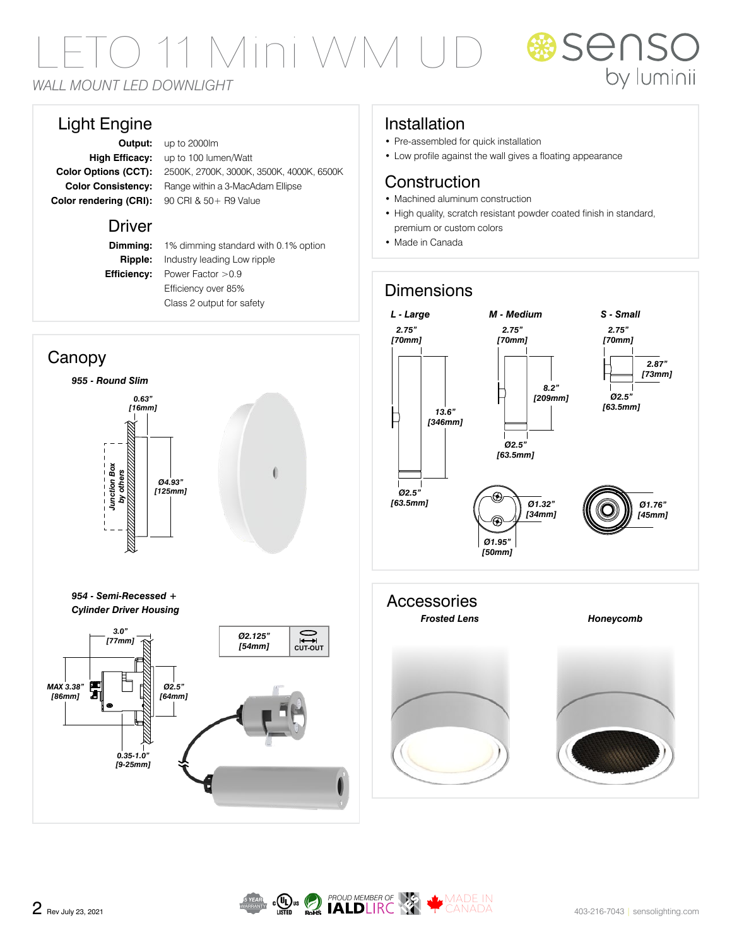1 Mini

*WALL MOUNT LED DOWNLIGHT*

## Light Engine

**Output:** up to 2000lm **High Efficacy:** up to 100 lumen/Watt **Color Options (CCT):** 2500K, 2700K, 3000K, 3500K, 4000K, 6500K **Color Consistency:** Range within a 3-MacAdam Ellipse Color rendering (CRI): 90 CRI & 50 + R9 Value

### Driver

**Dimming:** 1% dimming standard with 0.1% option **Ripple:** Industry leading Low ripple **Efficiency:** Power Factor > 0.9 Efficiency over 85% Class 2 output for safety



# Installation

- Pre-assembled for quick installation
- Low profile against the wall gives a floating appearance

## **Construction**

- Machined aluminum construction
- High quality, scratch resistant powder coated finish in standard, premium or custom colors

**BISENS** 

by luminii

• Made in Canada

# **Dimensions**



**Accessories** *Frosted Lens Honeycomb*